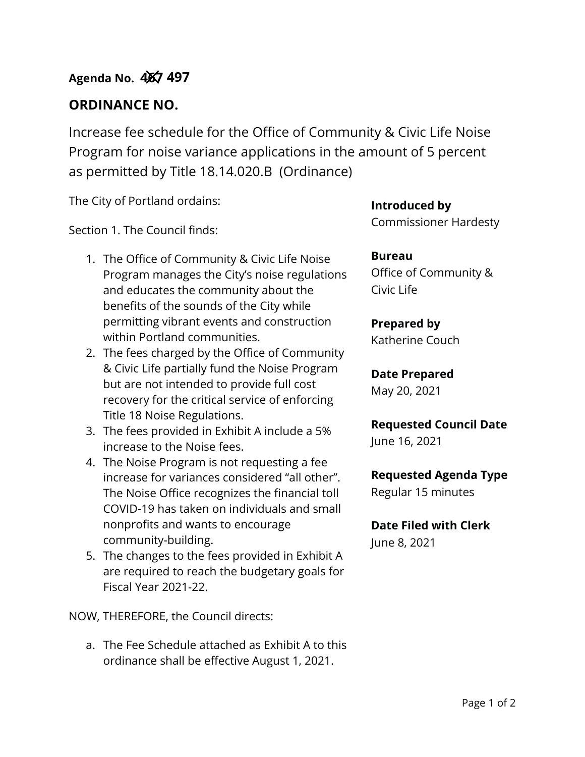## **ORDINANCE NO.**

Increase fee schedule for the Office of Community & Civic Life Noise Program for noise variance applications in the amount of 5 percent as permitted by Title 18.14.020.B (Ordinance)

The City of Portland ordains:

Section 1. The Council finds:

- 1. The Office of Community & Civic Life Noise Program manages the City's noise regulations and educates the community about the benefits of the sounds of the City while permitting vibrant events and construction within Portland communities.
- 2. The fees charged by the Office of Community & Civic Life partially fund the Noise Program but are not intended to provide full cost recovery for the critical service of enforcing Title 18 Noise Regulations.
- 3. The fees provided in Exhibit A include a 5% increase to the Noise fees.
- 4. The Noise Program is not requesting a fee increase for variances considered "all other". The Noise Office recognizes the financial toll COVID-19 has taken on individuals and small nonprofits and wants to encourage community-building.
- 5. The changes to the fees provided in Exhibit A are required to reach the budgetary goals for Fiscal Year 2021-22.

NOW, THEREFORE, the Council directs:

a. The Fee Schedule attached as Exhibit A to this ordinance shall be effective August 1, 2021.

**Introduced by** Commissioner Hardesty

**Bureau** Office of Community & Civic Life

# **Prepared by**

Katherine Couch

**Date Prepared** May 20, 2021

**Requested Council Date**

June 16, 2021

### **Requested Agenda Type**

Regular 15 minutes

**Date Filed with Clerk** 

June 8, 2021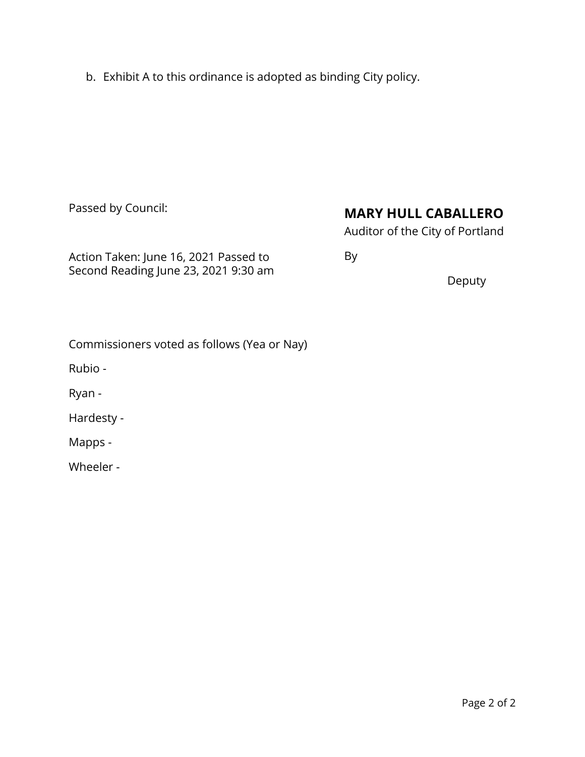b. Exhibit A to this ordinance is adopted as binding City policy.

Passed by Council:

## **MARY HULL CABALLERO**

Auditor of the City of Portland

Action Taken: June 16, 2021 Passed to Second Reading June 23, 2021 9:30 am By

Deputy

| Commissioners voted as follows (Yea or Nay) |  |
|---------------------------------------------|--|
|---------------------------------------------|--|

Rubio -

Ryan -

Hardesty -

Mapps -

Wheeler -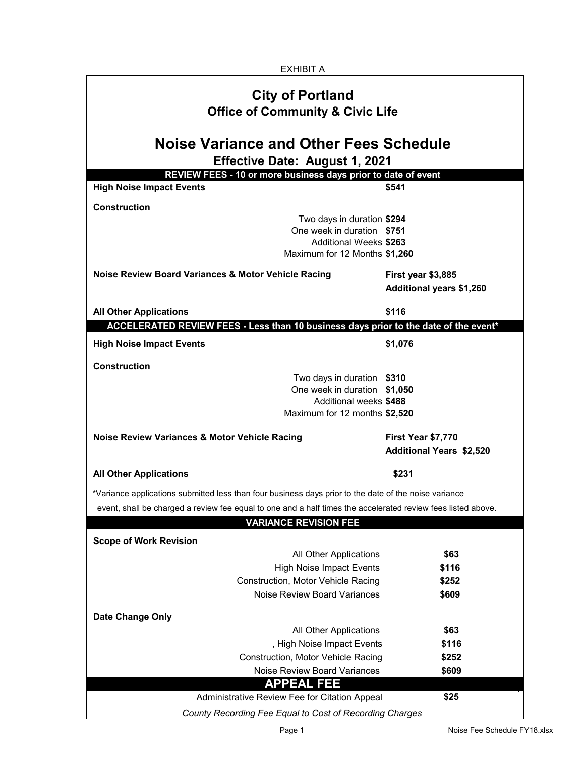| <b>EXHIBIT A</b>                                                                                                                                          |                                                       |  |  |  |  |  |  |
|-----------------------------------------------------------------------------------------------------------------------------------------------------------|-------------------------------------------------------|--|--|--|--|--|--|
| <b>City of Portland</b><br><b>Office of Community &amp; Civic Life</b><br><b>Noise Variance and Other Fees Schedule</b><br>Effective Date: August 1, 2021 |                                                       |  |  |  |  |  |  |
|                                                                                                                                                           |                                                       |  |  |  |  |  |  |
| <b>High Noise Impact Events</b>                                                                                                                           | \$541                                                 |  |  |  |  |  |  |
| <b>Construction</b>                                                                                                                                       |                                                       |  |  |  |  |  |  |
| Two days in duration \$294<br>One week in duration \$751<br><b>Additional Weeks \$263</b><br>Maximum for 12 Months \$1,260                                |                                                       |  |  |  |  |  |  |
| Noise Review Board Variances & Motor Vehicle Racing                                                                                                       | First year \$3,885<br><b>Additional years \$1,260</b> |  |  |  |  |  |  |
| <b>All Other Applications</b>                                                                                                                             | \$116                                                 |  |  |  |  |  |  |
| ACCELERATED REVIEW FEES - Less than 10 business days prior to the date of the event*                                                                      |                                                       |  |  |  |  |  |  |
| <b>High Noise Impact Events</b>                                                                                                                           | \$1,076                                               |  |  |  |  |  |  |
| <b>Construction</b><br>Two days in duration \$310<br>One week in duration \$1,050<br>Additional weeks \$488<br>Maximum for 12 months \$2,520              |                                                       |  |  |  |  |  |  |
| <b>Noise Review Variances &amp; Motor Vehicle Racing</b>                                                                                                  | First Year \$7,770<br><b>Additional Years \$2,520</b> |  |  |  |  |  |  |
| <b>All Other Applications</b>                                                                                                                             | \$231                                                 |  |  |  |  |  |  |
| *Variance applications submitted less than four business days prior to the date of the noise variance                                                     |                                                       |  |  |  |  |  |  |
| event, shall be charged a review fee equal to one and a half times the accelerated review fees listed above.                                              |                                                       |  |  |  |  |  |  |
| <b>VARIANCE REVISION FEE</b>                                                                                                                              |                                                       |  |  |  |  |  |  |
|                                                                                                                                                           |                                                       |  |  |  |  |  |  |
| <b>Scope of Work Revision</b><br>All Other Applications                                                                                                   | \$63                                                  |  |  |  |  |  |  |
| <b>High Noise Impact Events</b>                                                                                                                           | \$116                                                 |  |  |  |  |  |  |
| <b>Construction, Motor Vehicle Racing</b>                                                                                                                 | \$252                                                 |  |  |  |  |  |  |
| <b>Noise Review Board Variances</b>                                                                                                                       | \$609                                                 |  |  |  |  |  |  |
|                                                                                                                                                           |                                                       |  |  |  |  |  |  |
| <b>Date Change Only</b><br>All Other Applications                                                                                                         | \$63                                                  |  |  |  |  |  |  |
| , High Noise Impact Events                                                                                                                                | \$116                                                 |  |  |  |  |  |  |
| <b>Construction, Motor Vehicle Racing</b>                                                                                                                 | \$252                                                 |  |  |  |  |  |  |
| <b>Noise Review Board Variances</b>                                                                                                                       | \$609                                                 |  |  |  |  |  |  |
| <b>APPEAL FEE</b>                                                                                                                                         |                                                       |  |  |  |  |  |  |
| <b>Administrative Review Fee for Citation Appeal</b>                                                                                                      | \$25                                                  |  |  |  |  |  |  |
| County Recording Fee Equal to Cost of Recording Charges                                                                                                   |                                                       |  |  |  |  |  |  |